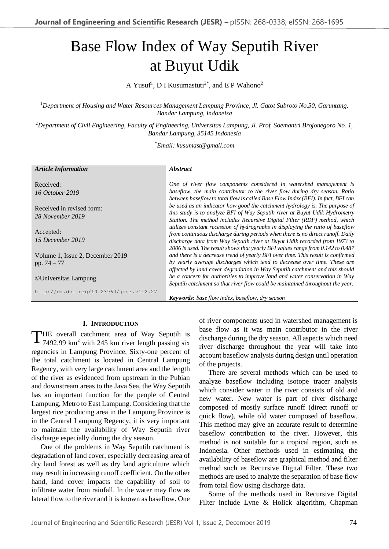# Base Flow Index of Way Seputih River at Buyut Udik

A Yusuf<sup>1</sup>, D I Kusumastuti<sup>2\*</sup>, and E P Wahono<sup>2</sup>

<sup>1</sup>*Department of Housing and Water Resources Management Lampung Province, Jl. Gatot Subroto No.50, Garuntang, Bandar Lampung, Indoneisa*

<sup>2</sup>*Department of Civil Engineering, Faculty of Engineering, Universitas Lampung, Jl. Prof. Soemantri Brojonegoro No. 1, Bandar Lampung, 35145 Indonesia*

\**Email: kusumast@gmail.com*

| <b>Article Information</b>                        | <i><b>Abstract</b></i>                                                                                                                                                                                                                                                                                                           |
|---------------------------------------------------|----------------------------------------------------------------------------------------------------------------------------------------------------------------------------------------------------------------------------------------------------------------------------------------------------------------------------------|
| Received:<br>16 October 2019                      | One of river flow components considered in watershed management is<br>baseflow, the main contributor to the river flow during dry season. Ratio<br>between baseflow to total flow is called Base Flow Index (BFI). In fact, BFI can                                                                                              |
| Received in revised form:<br>28 November 2019     | be used as an indicator how good the catchment hydrology is. The purpose of<br>this study is to analyze BFI of Way Seputih river at Buyut Udik Hydrometry<br>Station. The method includes Recursive Digital Filter (RDF) method, which                                                                                           |
| Accepted:<br>15 December 2019                     | utilizes constant recession of hydrographs in displaying the ratio of baseflow<br>from continuous discharge during periods when there is no direct runoff. Daily<br>discharge data from Way Seputih river at Buyut Udik recorded from 1973 to<br>2006 is used. The result shows that yearly BFI values range from 0.142 to 0.487 |
| Volume 1, Issue 2, December 2019<br>pp. $74 - 77$ | and there is a decrease trend of yearly BFI over time. This result is confirmed<br>by yearly average discharges which tend to decrease over time. These are<br>affected by land cover degradation in Way Seputih catchment and this should                                                                                       |
| ©Universitas Lampung                              | be a concern for authorities to improve land and water conservation in Way<br>Seputih catchment so that river flow could be maintained throughout the year.                                                                                                                                                                      |
| http://dx.doi.org/10.23960/jesr.vli2.27           | <b>Keywords:</b> base flow index, baseflow, dry season                                                                                                                                                                                                                                                                           |

# **I. INTRODUCTION**

HE overall catchment area of Way Seputih is THE overall catchment area of Way Seputih is<br>7492.99 km<sup>2</sup> with 245 km river length passing six regencies in Lampung Province. Sixty-one percent of the total catchment is located in Central Lampung Regency, with very large catchment area and the length of the river as evidenced from upstream in the Pubian and downstream areas to the Java Sea, the Way Seputih has an important function for the people of Central Lampung, Metro to East Lampung. Considering that the largest rice producing area in the Lampung Province is in the Central Lampung Regency, it is very important to maintain the availability of Way Seputih river discharge especially during the dry season.

One of the problems in Way Seputih catchment is degradation of land cover, especially decreasing area of dry land forest as well as dry land agriculture which may result in increasing runoff coefficient. On the other hand, land cover impacts the capability of soil to infiltrate water from rainfall. In the water may flow as lateral flow to the river and it is known as baseflow. One of river components used in watershed management is base flow as it was main contributor in the river discharge during the dry season. All aspects which need river discharge throughout the year will take into account baseflow analysis during design until operation of the projects.

There are several methods which can be used to analyze baseflow including isotope tracer analysis which consider water in the river consists of old and new water. New water is part of river discharge composed of mostly surface runoff (direct runoff or quick flow), while old water composed of baseflow. This method may give an accurate result to determine baseflow contribution to the river. However, this method is not suitable for a tropical region, such as Indonesia. Other methods used in estimating the availability of baseflow are graphical method and filter method such as Recursive Digital Filter. These two methods are used to analyze the separation of base flow from total flow using discharge data.

Some of the methods used in Recursive Digital Filter include Lyne & Holick algorithm, Chapman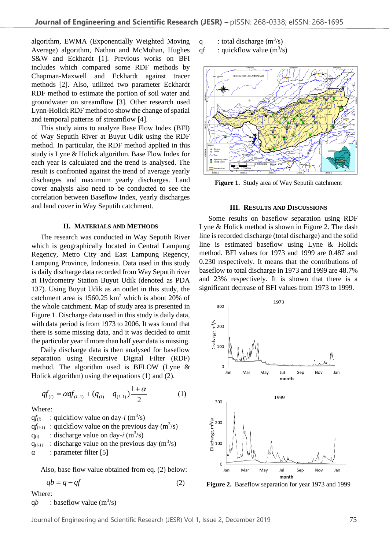algorithm, EWMA (Exponentially Weighted Moving Average) algorithm, Nathan and McMohan, Hughes S&W and Eckhardt [1]. Previous works on BFI includes which compared some RDF methods by Chapman-Maxwell and Eckhardt against tracer methods [2]. Also, utilized two parameter Eckhardt RDF method to estimate the portion of soil water and groundwater on streamflow [3]. Other research used Lynn-Holick RDF method to show the change of spatial and temporal patterns of streamflow [4].

This study aims to analyze Base Flow Index (BFI) of Way Seputih River at Buyut Udik using the RDF method. In particular, the RDF method applied in this study is Lyne & Holick algorithm. Base Flow Index for each year is calculated and the trend is analysed. The result is confronted against the trend of average yearly discharges and maximum yearly discharges. Land cover analysis also need to be conducted to see the correlation between Baseflow Index, yearly discharges and land cover in Way Seputih catchment.

## **II. MATERIALS AND METHODS**

The research was conducted in Way Seputih River which is geographically located in Central Lampung Regency, Metro City and East Lampung Regency, Lampung Province, Indonesia. Data used in this study is daily discharge data recorded from Way Seputih river at Hydrometry Station Buyut Udik (denoted as PDA 137). Using Buyut Udik as an outlet in this study, the catchment area is  $1560.25 \text{ km}^2$  which is about 20% of the whole catchment. Map of study area is presented in Figure 1. Discharge data used in this study is daily data, with data period is from 1973 to 2006. It was found that there is some missing data, and it was decided to omit the particular year if more than half year data is missing.

Daily discharge data is then analysed for baseflow separation using Recursive Digital Filter (RDF) method. The algorithm used is BFLOW (Lyne & Holick algorithm) using the equations (1) and (2).

$$
qf_{(i)} = \alpha qf_{(i-1)} + (q_{(i)} - q_{(i-1)}) \frac{1+\alpha}{2} \tag{1}
$$

Where:

 $q f_{(i)}$  : quickflow value on day-*i* (m<sup>3</sup>/s)  $q f_{(i-1)}$ : quickflow value on the previous day  $(m^3/s)$  $q_{(i)}$  : discharge value on day-*i* (m<sup>3</sup>/s)  $q_{(i-l)}$ : discharge value on the previous day  $(m^3/s)$  $\alpha$  : parameter filter [5]

Also, base flow value obtained from eq. (2) below:

$$
qb = q - qf \tag{2}
$$

Where:

qb : baseflow value  $(m^3/s)$ 

q : total discharge  $(m^3/s)$ 

qf : quickflow value  $(m^3/s)$ 



**Figure 1.** Study area of Way Seputih catchment

#### **III. RESULTS AND DISCUSSIONS**

Some results on baseflow separation using RDF Lyne & Holick method is shown in Figure 2. The dash line is recorded discharge (total discharge) and the solid line is estimated baseflow using Lyne & Holick method. BFI values for 1973 and 1999 are 0.487 and 0.230 respectively. It means that the contributions of baseflow to total discharge in 1973 and 1999 are 48.7% and 23% respectively. It is shown that there is a significant decrease of BFI values from 1973 to 1999.



**Figure 2.** Baseflow separation for year 1973 and 1999

Journal of Engineering and Scientific Research (JESR) Vol 1, Issue 2, December 2019 75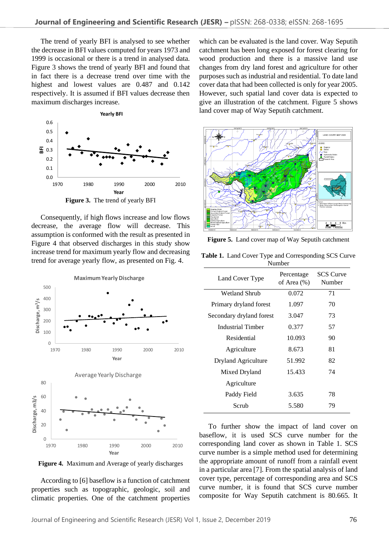The trend of yearly BFI is analysed to see whether the decrease in BFI values computed for years 1973 and 1999 is occasional or there is a trend in analysed data. Figure 3 shows the trend of yearly BFI and found that in fact there is a decrease trend over time with the highest and lowest values are 0.487 and 0.142 respectively. It is assumed if BFI values decrease then maximum discharges increase.



Consequently, if high flows increase and low flows decrease, the average flow will decrease. This assumption is conformed with the result as presented in Figure 4 that observed discharges in this study show increase trend for maximum yearly flow and decreasing trend for average yearly flow, as presented on Fig. 4.



**Figure 4.** Maximum and Average of yearly discharges

According to [6] baseflow is a function of catchment properties such as topographic, geologic, soil and climatic properties. One of the catchment properties

which can be evaluated is the land cover. Way Seputih catchment has been long exposed for forest clearing for wood production and there is a massive land use changes from dry land forest and agriculture for other purposes such as industrial and residential. To date land cover data that had been collected is only for year 2005. However, such spatial land cover data is expected to give an illustration of the catchment. Figure 5 shows land cover map of Way Seputih catchment.



**Figure 5.** Land cover map of Way Seputih catchment

| Table 1. Land Cover Type and Corresponding SCS Curve |
|------------------------------------------------------|
| <b>Number</b>                                        |

| Land Cover Type          | Percentage<br>of Area (%) | <b>SCS Curve</b><br>Number |
|--------------------------|---------------------------|----------------------------|
| <b>Wetland Shrub</b>     | 0.072                     | 71                         |
| Primary dryland forest   | 1.097                     | 70                         |
| Secondary dryland forest | 3.047                     | 73                         |
| Industrial Timber        | 0.377                     | 57                         |
| Residential              | 10.093                    | 90                         |
| Agriculture              | 8.673                     | 81                         |
| Dryland Agriculture      | 51.992                    | 82                         |
| Mixed Dryland            | 15.433                    | 74                         |
| Agriculture              |                           |                            |
| Paddy Field              | 3.635                     | 78                         |
| Scrub                    | 5.580                     | 79                         |

To further show the impact of land cover on baseflow, it is used SCS curve number for the corresponding land cover as shown in Table 1. SCS curve number is a simple method used for determining the appropriate amount of runoff from a rainfall event in a particular area [7]. From the spatial analysis of land cover type, percentage of corresponding area and SCS curve number, it is found that SCS curve number composite for Way Seputih catchment is 80.665. It